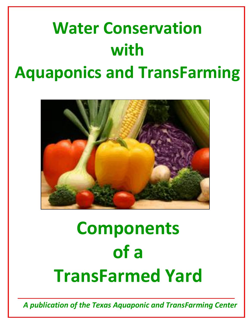# **Water Conservation with Aquaponics and TransFarming**



# **Components of a TransFarmed Yard**

*A publication of the Texas Aquaponic and TransFarming Center*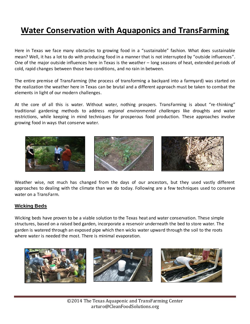### **Water Conservation with Aquaponics and TransFarming**

Here in Texas we face many obstacles to growing food in a "sustainable" fashion. What does sustainable mean? Well, it has a lot to do with producing food in a manner that is not interrupted by "outside influences". One of the major outside influences here in Texas is the weather – long seasons of heat, extended periods of cold, rapid changes between those two conditions, and no rain in between.

The entire premise of TransFarming (the process of transforming a backyard into a farmyard) was started on the realization the weather here in Texas can be brutal and a different approach must be taken to combat the elements in light of our modern challenges.

At the core of all this is water. Without water, nothing prospers. TransFarming is about "re-thinking" traditional gardening methods to address *regional environmental challenges* like droughts and water restrictions, while keeping in mind techniques for prosperous food production*.* These approaches involve growing food in ways that conserve water.



Weather wise, not much has changed from the days of our ancestors, but they used vastly different approaches to dealing with the climate than we do today. Following are a few techniques used to conserve water on a TransFarm.

#### **Wicking Beds**

Wicking beds have proven to be a viable solution to the Texas heat and water conservation. These simple structures, based on a raised bed garden, incorporate a reservoir underneath the bed to store water. The garden is watered through an exposed pipe which then wicks water upward through the soil to the roots where water is needed the most. There is minimal evaporation.

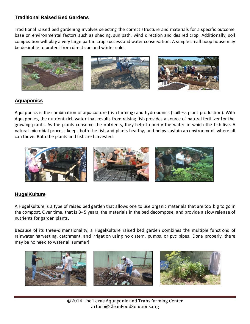#### **Traditional Raised Bed Gardens**

Traditional raised bed gardening involves selecting the correct structure and materials for a specific outcome base on environmental factors such as shading, sun path, wind direction and desired crop. Additionally, soil composition will play a very large part in crop success and water conservation. A simple small hoop house may be desirable to protect from direct sun and winter cold.



#### **Aquaponics**

Aquaponics is the combination of aquaculture (fish farming) and hydroponics (soilless plant production). With Aquaponics, the nutrient-rich water that results from raising fish provides a source of natural fertilizer for the growing plants. As the plants consume the nutrients, they help to purify the water in which the fish live. A natural microbial process keeps both the fish and plants healthy, and helps sustain an environment where all can thrive. Both the plants and fish are harvested.



#### **HugelKulture**

A HugelKulture is a type of raised bed garden that allows one to use organic materials that are too big to go in the compost. Over time, that is 3- 5 years, the materials in the bed decompose, and provide a slow release of nutrients for garden plants.

Because of its three-dimensionality, a HugelKulture raised bed garden combines the multiple functions of rainwater harvesting, catchment, and irrigation using no cistern, pumps, or pvc pipes. Done properly, there may be no need to water all summer!

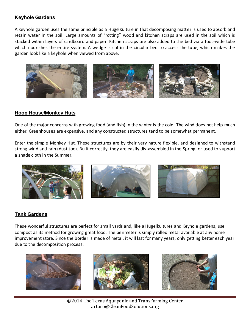#### **Keyhole Gardens**

A keyhole garden uses the same principle as a HugelKulture in that decomposing matter is used to absorb and retain water in the soil. Large amounts of "rotting" wood and kitchen scraps are used in the soil which is stacked within layers of cardboard and paper. Kitchen scraps are also added to the bed via a foot-wide tube which nourishes the entire system. A wedge is cut in the circular bed to access the tube, which makes the garden look like a keyhole when viewed from above.



#### **Hoop House/Monkey Huts**

One of the major concerns with growing food (and fish) in the winter is the cold. The wind does not help much either. Greenhouses are expensive, and any constructed structures tend to be somewhat permanent.

Enter the simple Monkey Hut. These structures are by their very nature flexible, and designed to withstand strong wind and rain (dust too). Built correctly, they are easily dis-assembled in the Spring, or used to support a shade cloth in the Summer.



#### **Tank Gardens**

These wonderful structures are perfect for small yards and, like a Hugelkultures and Keyhole gardens, use compost as its method for growing great food. The perimeter is simply rolled metal available at any home improvement store. Since the border is made of metal, it will last for many years, only getting better each year due to the decomposition process.



©2014 The Texas Aquaponic and TransFarming Center arturo@CleanFoodSolutions.org